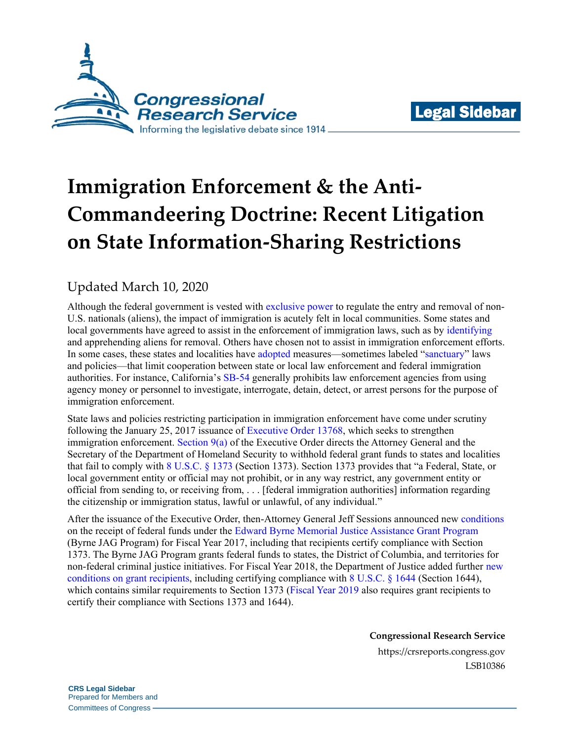



# **Immigration Enforcement & the Anti-Commandeering Doctrine: Recent Litigation on State Information-Sharing Restrictions**

### Updated March 10, 2020

Although the federal government is vested with [exclusive power](https://www.google.com/url?sa=t&rct=j&q=&esrc=s&source=web&cd=1&ved=2ahUKEwjG_PT7qaHmAhVCrlkKHWCqC58QFjAAegQIBBAC&url=https%3A%2F%2Fwww.supremecourt.gov%2Fopinions%2F11pdf%2F11-182b5e1.pdf&usg=AOvVaw1WqgqT9lKiinFjVlnd5_dM#page=2) to regulate the entry and removal of non-U.S. nationals (aliens), the impact of immigration is acutely felt in local communities. Some states and local governments have agreed to assist in the enforcement of immigration laws, such as by [identifying](https://www.ilrc.org/national-map-287g-agreements) and apprehending aliens for removal. Others have chosen not to assist in immigration enforcement efforts. In some cases, these states and localities have [adopted](https://sfgov.org/oceia/sanctuary-city-ordinance-0) measures—sometimes labeled ["sanctuary"](https://www.google.com/url?sa=t&rct=j&q=&esrc=s&source=web&cd=13&ved=2ahUKEwjAv5q7qqHmAhVkp1kKHesSBL44ChAWMAJ6BAgEEAI&url=https%3A%2F%2Flawreview.law.ucdavis.edu%2Fissues%2F52%2F1%2FSymposium%2F52-1_Villazor_Gulasekaram.pdf&usg=AOvVaw1qsLhRxPxpFNiKKB7tc_gf) laws and policies—that limit cooperation between state or local law enforcement and federal immigration authorities. For instance, California's [SB-54](https://leginfo.legislature.ca.gov/faces/billTextClient.xhtml?bill_id=201720180SB54) generally prohibits law enforcement agencies from using agency money or personnel to investigate, interrogate, detain, detect, or arrest persons for the purpose of immigration enforcement.

State laws and policies restricting participation in immigration enforcement have come under scrutiny following the January 25, 2017 issuance of [Executive Order 13768,](https://www.whitehouse.gov/presidential-actions/executive-order-enhancing-public-safety-interior-united-states/) which seeks to strengthen immigration enforcement. Section  $9(a)$  of the Executive Order directs the Attorney General and the Secretary of the Department of Homeland Security to withhold federal grant funds to states and localities that fail to comply with [8 U.S.C. § 1373](https://www.google.com/url?sa=t&rct=j&q=&esrc=s&source=web&cd=3&ved=2ahUKEwiwkYujw_TlAhWMm-AKHWy0AMIQFjACegQIBBAC&url=https%3A%2F%2Fwww.govinfo.gov%2Fcontent%2Fpkg%2FUSCODE-2011-title8%2Fpdf%2FUSCODE-2011-title8-chap12-subchapII-partIX-sec1373.pdf&usg=AOvVaw3YWurR6h0XP9GtoDQU7obY) (Section 1373). Section 1373 provides that "a Federal, State, or local government entity or official may not prohibit, or in any way restrict, any government entity or official from sending to, or receiving from, . . . [federal immigration authorities] information regarding the citizenship or immigration status, lawful or unlawful, of any individual."

After the issuance of the Executive Order, then-Attorney General Jeff Sessions announced new [conditions](https://www.justice.gov/opa/press-release/file/984346/download) on the receipt of federal funds under the [Edward Byrne Memorial Justice Assistance Grant Program](https://crsreports.congress.gov/product/pdf/IF/IF10691) (Byrne JAG Program) for Fiscal Year 2017, including that recipients certify compliance with Section 1373. The Byrne JAG Program grants federal funds to states, the District of Columbia, and territories for non-federal criminal justice initiatives. For Fiscal Year 2018, the Department of Justice added further [new](https://www.google.com/url?sa=t&rct=j&q=&esrc=s&source=web&cd=2&ved=2ahUKEwi3x-rfm5DmAhXrqFkKHYwfBvMQFjABegQIARAC&url=https%3A%2F%2Fwww.bja.gov%2Ffunding%2FJAGLocal18.pdf&usg=AOvVaw3_G1NOZWG3gw-LYIa3Edc6#page=36)  [conditions](https://www.google.com/url?sa=t&rct=j&q=&esrc=s&source=web&cd=2&ved=2ahUKEwi3x-rfm5DmAhXrqFkKHYwfBvMQFjABegQIARAC&url=https%3A%2F%2Fwww.bja.gov%2Ffunding%2FJAGLocal18.pdf&usg=AOvVaw3_G1NOZWG3gw-LYIa3Edc6#page=36) on grant recipients, including certifying compliance with [8 U.S.C. § 1644](https://www.govinfo.gov/content/pkg/USCODE-2011-title8/html/USCODE-2011-title8-chap14-subchapIV-sec1644.htm) (Section 1644), which contains similar requirements to Section 1373 [\(Fiscal Year 2019](https://bja.ojp.gov/sites/g/files/xyckuh186/files/media/document/jagstate19.pdf) also requires grant recipients to certify their compliance with Sections 1373 and 1644).

**Congressional Research Service**

https://crsreports.congress.gov LSB10386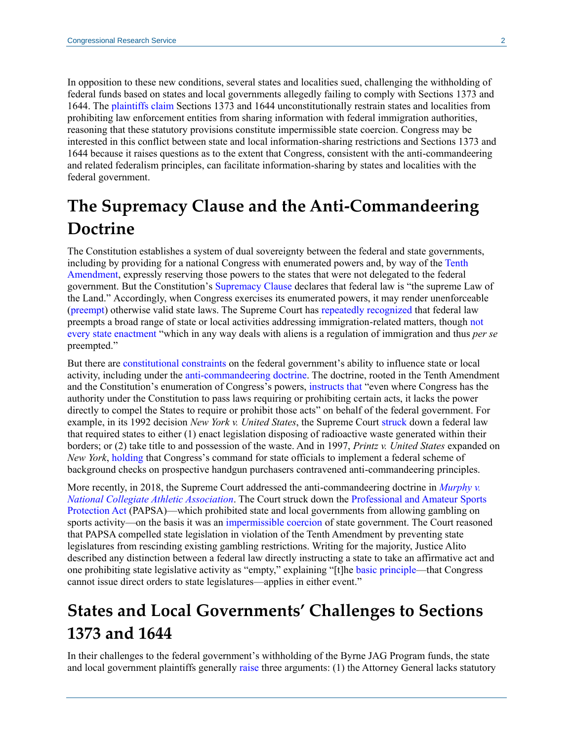In opposition to these new conditions, several states and localities sued, challenging the withholding of federal funds based on states and local governments allegedly failing to comply with Sections 1373 and 1644. The [plaintiffs](https://www.doj.state.or.us/wp-content/uploads/2018/11/Complaint.pdf) [claim](https://www.clearinghouse.net/chDocs/public/IM-IL-0020-0001.pdf) Sections 1373 and 1644 unconstitutionally restrain states and localities from prohibiting law enforcement entities from sharing information with federal immigration authorities, reasoning that these statutory provisions constitute impermissible state coercion. Congress may be interested in this conflict between state and local information-sharing restrictions and Sections 1373 and 1644 because it raises questions as to the extent that Congress, consistent with the anti-commandeering and related federalism principles, can facilitate information-sharing by states and localities with the federal government.

### **The Supremacy Clause and the Anti-Commandeering Doctrine**

The Constitution establishes a system of dual sovereignty between the federal and state governments, including by providing for a national Congress with enumerated powers and, by way of th[e Tenth](https://constitution.congress.gov/constitution/amendment-10/)  [Amendment,](https://constitution.congress.gov/constitution/amendment-10/) expressly reserving those powers to the states that were not delegated to the federal government. But the Constitution's [Supremacy Clause](https://constitution.congress.gov/browse/essay/artVI_C2_1_1/) declares that federal law is "the supreme Law of the Land." Accordingly, when Congress exercises its enumerated powers, it may render unenforceable [\(preempt\)](https://crsreports.congress.gov/product/pdf/R/R45825) otherwise valid state laws. The Supreme Court has [repeatedly](https://www.supremecourt.gov/opinions/11pdf/11-182b5e1.pdf) [recognized](https://cdn.loc.gov/service/ll/usrep/usrep312/usrep312052/usrep312052.pdf) that federal law preempts a broad range of state or local activities addressing immigration-related matters, though [not](https://cdn.loc.gov/service/ll/usrep/usrep424/usrep424351/usrep424351.pdf#page=5)  [every state enactment](https://cdn.loc.gov/service/ll/usrep/usrep424/usrep424351/usrep424351.pdf#page=5) "which in any way deals with aliens is a regulation of immigration and thus *per se* preempted."

But there are [constitutional](https://crsreports.congress.gov/product/pdf/R/R45323) constraints on the federal government's ability to influence state or local activity, including under the [anti-commandeering doctrine.](https://crsreports.congress.gov/product/pdf/R/R45323#_Toc525881701) The doctrine, rooted in the Tenth Amendment and the Constitution's enumeration of Congress's powers, [instructs that](https://cdn.loc.gov/service/ll/usrep/usrep505/usrep505144/usrep505144.pdf#page=23) "even where Congress has the authority under the Constitution to pass laws requiring or prohibiting certain acts, it lacks the power directly to compel the States to require or prohibit those acts" on behalf of the federal government. For example, in its 1992 decision *New York v. United States*, the Supreme Court [struck](https://cdn.loc.gov/service/ll/usrep/usrep505/usrep505144/usrep505144.pdf#page=3) down a federal law that required states to either (1) enact legislation disposing of radioactive waste generated within their borders; or (2) take title to and possession of the waste. And in 1997, *Printz v. United States* expanded on *New York*, [holding](https://cdn.loc.gov/service/ll/usrep/usrep521/usrep521898/usrep521898.pdf#page=28) that Congress's command for state officials to implement a federal scheme of background checks on prospective handgun purchasers contravened anti-commandeering principles.

More recently, in 2018, the Supreme Court addressed the anti-commandeering doctrine in *[Murphy v.](https://www.supremecourt.gov/opinions/17pdf/16-476_dbfi.pdf)  [National Collegiate Athletic Association](https://www.supremecourt.gov/opinions/17pdf/16-476_dbfi.pdf)*. The Court struck down the [Professional and Amateur Sports](https://www.google.com/url?sa=t&rct=j&q=&esrc=s&source=web&cd=1&ved=2ahUKEwiK0uGA5PnlAhUsiOAKHcxkBXUQFjAAegQIAxAC&url=https%3A%2F%2Fwww.govinfo.gov%2Flink%2Fstatute%2F106%2F4228&usg=AOvVaw2SFzbUvII_AK_W-VWs6YVI)  [Protection Act](https://www.google.com/url?sa=t&rct=j&q=&esrc=s&source=web&cd=1&ved=2ahUKEwiK0uGA5PnlAhUsiOAKHcxkBXUQFjAAegQIAxAC&url=https%3A%2F%2Fwww.govinfo.gov%2Flink%2Fstatute%2F106%2F4228&usg=AOvVaw2SFzbUvII_AK_W-VWs6YVI) (PAPSA)—which prohibited state and local governments from allowing gambling on sports activity—on the basis it was an [impermissible coercion](https://www.supremecourt.gov/opinions/17pdf/16-476_dbfi.pdf#page=22) of state government. The Court reasoned that PAPSA compelled state legislation in violation of the Tenth Amendment by preventing state legislatures from rescinding existing gambling restrictions. Writing for the majority, Justice Alito described any distinction between a federal law directly instructing a state to take an affirmative act and one prohibiting state legislative activity as "empty," explaining "[t]he [basic principle—](https://www.supremecourt.gov/opinions/17pdf/16-476_dbfi.pdf#page=23)that Congress cannot issue direct orders to state legislatures—applies in either event."

### **States and Local Governments' Challenges to Sections 1373 and 1644**

In their challenges to the federal government's withholding of the Byrne JAG Program funds, the state and local government plaintiffs generally [raise](https://www.leagle.com/decision/infdco20190807e70) three arguments: (1) the Attorney General lacks statutory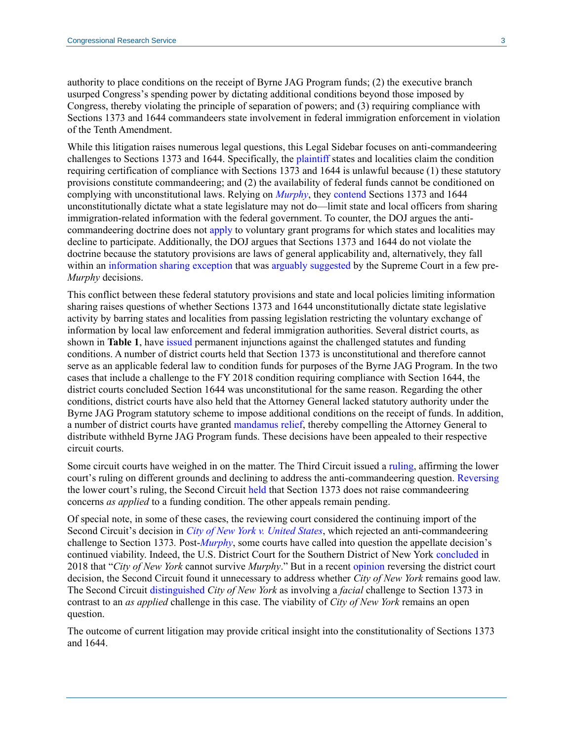authority to place conditions on the receipt of Byrne JAG Program funds; (2) the executive branch usurped Congress's spending power by dictating additional conditions beyond those imposed by Congress, thereby violating the principle of separation of powers; and (3) requiring compliance with Sections 1373 and 1644 commandeers state involvement in federal immigration enforcement in violation of the Tenth Amendment.

While this litigation raises numerous legal questions, this Legal Sidebar focuses on anti-commandeering challenges to Sections 1373 and 1644. Specifically, the [plaintiff](https://www.leagle.com/decision/infdco20190807e70) states and localities claim the condition requiring certification of compliance with Sections 1373 and 1644 is unlawful because (1) these statutory provisions constitute commandeering; and (2) the availability of federal funds cannot be conditioned on complying with unconstitutional laws. Relying on *[Murphy](https://www.supremecourt.gov/opinions/17pdf/16-476_dbfi.pdf#page=23)*, they [contend](https://www.leagle.com/decision/infdco20181009998) Sections 1373 and 1644 unconstitutionally dictate what a state legislature may not do—limit state and local officers from sharing immigration-related information with the federal government. To counter, the DOJ argues the anticommandeering doctrine does not [apply](https://www.leagle.com/decision/infdco20181009998) to voluntary grant programs for which states and localities may decline to participate. Additionally, the DOJ argues that Sections 1373 and 1644 do not violate the doctrine because the statutory provisions are laws of general applicability and, alternatively, they fall within an [information sharing exception](https://www.leagle.com/decision/infdco20181009998) that was [arguably](https://cdn.loc.gov/service/ll/usrep/usrep521/usrep521898/usrep521898.pdf#page=21) [suggested](https://cdn.loc.gov/service/ll/usrep/usrep528/usrep528141/usrep528141.pdf#page=11) by the Supreme Court in a few pre-*Murphy* decisions.

This conflict between these federal statutory provisions and state and local policies limiting information sharing raises questions of whether Sections 1373 and 1644 unconstitutionally dictate state legislative activity by barring states and localities from passing legislation restricting the voluntary exchange of information by local law enforcement and federal immigration authorities. Several district courts, as shown in **Table 1**, have [issued](https://www.leagle.com/decision/infdco20181009998) permanent injunctions against the challenged statutes and funding conditions. A number of district courts held that Section 1373 is unconstitutional and therefore cannot serve as an applicable federal law to condition funds for purposes of the Byrne JAG Program. In the two cases that include a challenge to the FY 2018 condition requiring compliance with Section 1644, the district courts concluded Section 1644 was unconstitutional for the same reason. Regarding the other conditions, district courts have also held that the Attorney General lacked statutory authority under the Byrne JAG Program statutory scheme to impose additional conditions on the receipt of funds. In addition, a number of district courts have granted [mandamus relief,](https://www.leagle.com/decision/infdco20181009998) thereby compelling the Attorney General to distribute withheld Byrne JAG Program funds. These decisions have been appealed to their respective circuit courts.

Some circuit courts have weighed in on the matter. The Third Circuit issued a [ruling,](https://www.leagle.com/decision/infco20190215098) affirming the lower court's ruling on different grounds and declining to address the anti-commandeering question. [Reversing](http://cdn.cnn.com/cnn/2020/images/02/26/19-267_opn.pdf) the lower court's ruling, the Second Circuit [held](http://cdn.cnn.com/cnn/2020/images/02/26/19-267_opn.pdf#page=61) that Section 1373 does not raise commandeering concerns *as applied* to a funding condition. The other appeals remain pending.

Of special note, in some of these cases, the reviewing court considered the continuing import of the Second Circuit's decision in *[City of New York v. United States](https://law.justia.com/cases/federal/appellate-courts/F3/179/29/546611/)*, which rejected an anti-commandeering challenge to Section 1373*.* Post-*[Murphy](https://www.supremecourt.gov/opinions/17pdf/16-476_dbfi.pdf#page=1)*, some courts have called into question the appellate decision's continued viability. Indeed, the U.S. District Court for the Southern District of New York [concluded](https://www.leagle.com/decision/infdco20181203a65) in 2018 that "*City of New York* cannot survive *Murphy*." But in a recent [opinion](http://cdn.cnn.com/cnn/2020/images/02/26/19-267_opn.pdf) reversing the district court decision, the Second Circuit found it unnecessary to address whether *City of New York* remains good law. The Second Circuit [distinguished](http://cdn.cnn.com/cnn/2020/images/02/26/19-267_opn.pdf#page=56) *City of New York* as involving a *facial* challenge to Section 1373 in contrast to an *as applied* challenge in this case. The viability of *City of New York* remains an open question.

The outcome of current litigation may provide critical insight into the constitutionality of Sections 1373 and 1644.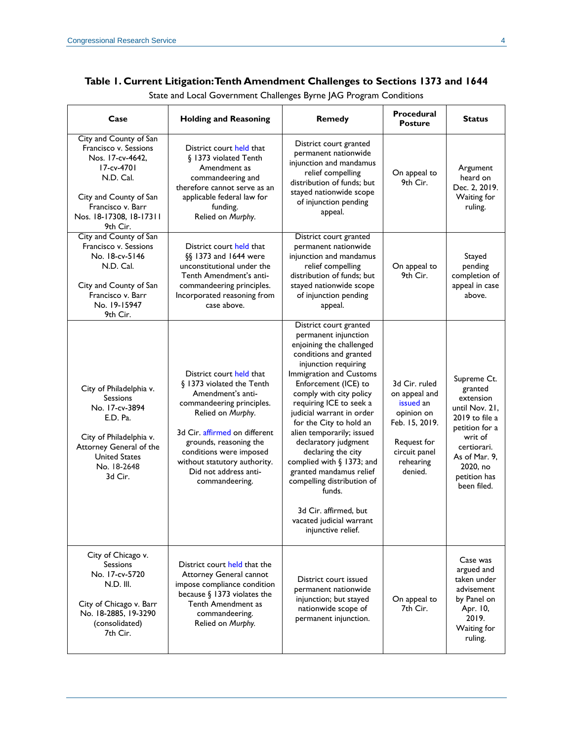#### **Table 1. Current Litigation: Tenth Amendment Challenges to Sections 1373 and 1644**

| Case                                                                                                                                                                                 | <b>Holding and Reasoning</b>                                                                                                                                                                                                                                                                  | <b>Remedy</b>                                                                                                                                                                                                                                                                                                                                                                                                                                                                                                                                       | Procedural<br><b>Posture</b>                                                                                                        | <b>Status</b>                                                                                                                                                                   |
|--------------------------------------------------------------------------------------------------------------------------------------------------------------------------------------|-----------------------------------------------------------------------------------------------------------------------------------------------------------------------------------------------------------------------------------------------------------------------------------------------|-----------------------------------------------------------------------------------------------------------------------------------------------------------------------------------------------------------------------------------------------------------------------------------------------------------------------------------------------------------------------------------------------------------------------------------------------------------------------------------------------------------------------------------------------------|-------------------------------------------------------------------------------------------------------------------------------------|---------------------------------------------------------------------------------------------------------------------------------------------------------------------------------|
| City and County of San<br>Francisco v. Sessions<br>Nos. 17-cv-4642.<br>17-cv-4701<br>N.D. Cal.<br>City and County of San<br>Francisco v. Barr<br>Nos. 18-17308, 18-17311<br>9th Cir. | District court held that<br>§ 1373 violated Tenth<br>Amendment as<br>commandeering and<br>therefore cannot serve as an<br>applicable federal law for<br>funding.<br>Relied on Murphy.                                                                                                         | District court granted<br>permanent nationwide<br>injunction and mandamus<br>relief compelling<br>distribution of funds; but<br>stayed nationwide scope<br>of injunction pending<br>appeal.                                                                                                                                                                                                                                                                                                                                                         | On appeal to<br>9th Cir.                                                                                                            | Argument<br>heard on<br>Dec. 2, 2019.<br>Waiting for<br>ruling.                                                                                                                 |
| City and County of San<br>Francisco v. Sessions<br>No. 18-cv-5146<br>N.D. Cal.<br>City and County of San<br>Francisco v. Barr<br>No. 19-15947<br>9th Cir.                            | District court held that<br>§§ 1373 and 1644 were<br>unconstitutional under the<br>Tenth Amendment's anti-<br>commandeering principles.<br>Incorporated reasoning from<br>case above.                                                                                                         | District court granted<br>permanent nationwide<br>injunction and mandamus<br>relief compelling<br>distribution of funds; but<br>stayed nationwide scope<br>of injunction pending<br>appeal.                                                                                                                                                                                                                                                                                                                                                         | On appeal to<br>9th Cir.                                                                                                            | Stayed<br>pending<br>completion of<br>appeal in case<br>above.                                                                                                                  |
| City of Philadelphia v.<br><b>Sessions</b><br>No. 17-cv-3894<br>E.D. Pa.<br>City of Philadelphia v.<br>Attorney General of the<br><b>United States</b><br>No. 18-2648<br>3d Cir.     | District court held that<br>§ 1373 violated the Tenth<br>Amendment's anti-<br>commandeering principles.<br>Relied on Murphy.<br>3d Cir. affirmed on different<br>grounds, reasoning the<br>conditions were imposed<br>without statutory authority.<br>Did not address anti-<br>commandeering. | District court granted<br>permanent injunction<br>enjoining the challenged<br>conditions and granted<br>injunction requiring<br>Immigration and Customs<br>Enforcement (ICE) to<br>comply with city policy<br>requiring ICE to seek a<br>judicial warrant in order<br>for the City to hold an<br>alien temporarily; issued<br>declaratory judgment<br>declaring the city<br>complied with § 1373; and<br>granted mandamus relief<br>compelling distribution of<br>funds.<br>3d Cir. affirmed, but<br>vacated judicial warrant<br>injunctive relief. | 3d Cir. ruled<br>on appeal and<br>issued an<br>opinion on<br>Feb. 15, 2019.<br>Request for<br>circuit panel<br>rehearing<br>denied. | Supreme Ct.<br>granted<br>extension<br>until Nov. 21,<br>2019 to file a<br>petition for a<br>writ of<br>certiorari.<br>As of Mar. 9,<br>2020, no<br>petition has<br>been filed. |
| City of Chicago v.<br><b>Sessions</b><br>No. 17-cv-5720<br>$N.D.$ III.<br>City of Chicago v. Barr<br>No. 18-2885, 19-3290<br>(consolidated)<br>7th Cir.                              | District court held that the<br>Attorney General cannot<br>impose compliance condition<br>because $\S$ 1373 violates the<br>Tenth Amendment as<br>commandeering.<br>Relied on Murphy.                                                                                                         | District court issued<br>permanent nationwide<br>injunction; but stayed<br>nationwide scope of<br>permanent injunction.                                                                                                                                                                                                                                                                                                                                                                                                                             | On appeal to<br>7th Cir.                                                                                                            | Case was<br>argued and<br>taken under<br>advisement<br>by Panel on<br>Apr. 10,<br>2019.<br>Waiting for<br>ruling.                                                               |

State and Local Government Challenges Byrne JAG Program Conditions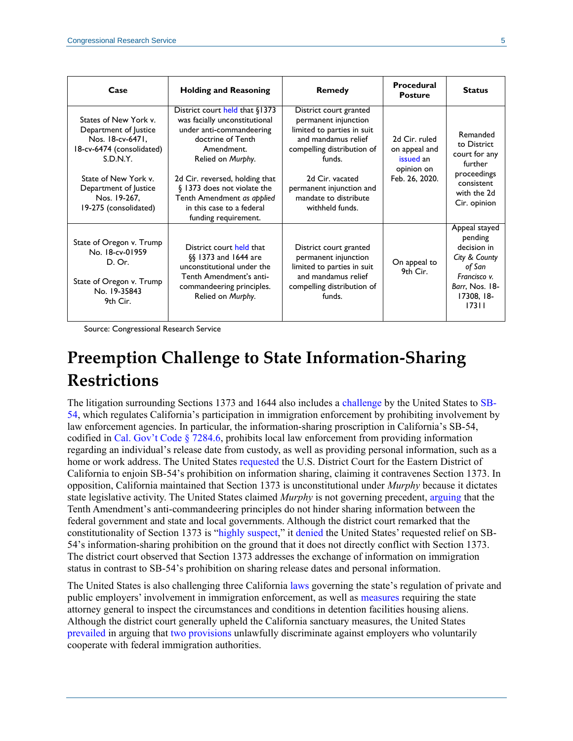| Case                                                                                                                                                                                                  | <b>Holding and Reasoning</b>                                                                                                                                                                                                                                                                            | <b>Remedy</b>                                                                                                                                                                                                                          | Procedural<br><b>Posture</b>                                                | <b>Status</b>                                                                                                               |
|-------------------------------------------------------------------------------------------------------------------------------------------------------------------------------------------------------|---------------------------------------------------------------------------------------------------------------------------------------------------------------------------------------------------------------------------------------------------------------------------------------------------------|----------------------------------------------------------------------------------------------------------------------------------------------------------------------------------------------------------------------------------------|-----------------------------------------------------------------------------|-----------------------------------------------------------------------------------------------------------------------------|
| States of New York v.<br>Department of Justice<br>Nos. 18-cv-6471,<br>18-cv-6474 (consolidated)<br>S.D.N.Y.<br>State of New York v.<br>Department of Justice<br>Nos. 19-267.<br>19-275 (consolidated) | District court held that §1373<br>was facially unconstitutional<br>under anti-commandeering<br>doctrine of Tenth<br>Amendment.<br>Relied on Murphy.<br>2d Cir. reversed, holding that<br>§ 1373 does not violate the<br>Tenth Amendment as applied<br>in this case to a federal<br>funding requirement. | District court granted<br>permanent injunction<br>limited to parties in suit<br>and mandamus relief<br>compelling distribution of<br>funds.<br>2d Cir. vacated<br>permanent injunction and<br>mandate to distribute<br>withheld funds. | 2d Cir. ruled<br>on appeal and<br>issued an<br>opinion on<br>Feb. 26, 2020. | Remanded<br>to District<br>court for any<br>further<br>proceedings<br>consistent<br>with the 2d<br>Cir. opinion             |
| State of Oregon v. Trump<br>No. 18-cv-01959<br>D. Or.<br>State of Oregon v. Trump<br>No. 19-35843<br>9th Cir.                                                                                         | District court held that<br>§§ 1373 and 1644 are<br>unconstitutional under the<br>Tenth Amendment's anti-<br>commandeering principles.<br>Relied on Murphy.                                                                                                                                             | District court granted<br>permanent injunction<br>limited to parties in suit<br>and mandamus relief<br>compelling distribution of<br>funds.                                                                                            | On appeal to<br>9th Cir.                                                    | Appeal stayed<br>pending<br>decision in<br>City & County<br>of San<br>Francisco v.<br>Barr, Nos. 18-<br>17308, 18-<br>17311 |

Source: Congressional Research Service

## **Preemption Challenge to State Information-Sharing Restrictions**

The litigation surrounding Sections 1373 and 1644 also includes a [challenge](https://www.leagle.com/decision/infdco20180706731) by the United States to [SB-](https://leginfo.legislature.ca.gov/faces/billTextClient.xhtml?bill_id=201720180SB54)[54,](https://leginfo.legislature.ca.gov/faces/billTextClient.xhtml?bill_id=201720180SB54) which regulates California's participation in immigration enforcement by prohibiting involvement by law enforcement agencies. In particular, the information-sharing proscription in California's SB-54, codified in Cal. Gov't [Code § 7284.6,](https://leginfo.legislature.ca.gov/faces/codes_displaySection.xhtml?lawCode=GOV§ionNum=7284.6) prohibits local law enforcement from providing information regarding an individual's release date from custody, as well as providing personal information, such as a home or work address. The United States [requested](https://www.leagle.com/decision/infdco20180706731) the U.S. District Court for the Eastern District of California to enjoin SB-54's prohibition on information sharing, claiming it contravenes Section 1373. In opposition, California maintained that Section 1373 is unconstitutional under *Murphy* because it dictates state legislative activity. The United States claimed *Murphy* is not governing precedent, [arguing](https://www.supremecourt.gov/DocketPDF/19/19-532/119897/20191022192538521_California.Pet.10.22.19.pdf#page=38) that the Tenth Amendment's anti-commandeering principles do not hinder sharing information between the federal government and state and local governments. Although the district court remarked that the constitutionality of Section 1373 is ["highly suspect,](https://www.leagle.com/decision/infdco20180706731)" it [denied](https://www.leagle.com/decision/infdco20180706731) the United States' requested relief on SB-54's information-sharing prohibition on the ground that it does not directly conflict with Section 1373. The district court observed that Section 1373 addresses the exchange of information on immigration status in contrast to SB-54's prohibition on sharing release dates and personal information.

The United States is also challenging three California [laws](https://leginfo.legislature.ca.gov/faces/billNavClient.xhtml?bill_id=201720180AB450) governing the state's regulation of private and public employers' involvement in immigration enforcement, as well as [measures](https://leginfo.legislature.ca.gov/faces/billTextClient.xhtml?bill_id=201720180AB103) requiring the state attorney general to inspect the circumstances and conditions in detention facilities housing aliens. Although the district court generally upheld the California sanctuary measures, the United States [prevailed](https://www.leagle.com/decision/infdco20180706731) in arguing that [two provisions](https://leginfo.legislature.ca.gov/faces/codes_displayText.xhtml?lawCode=GOV&division=7.&title=1.&part=&chapter=17.3.&article=) unlawfully discriminate against employers who voluntarily cooperate with federal immigration authorities.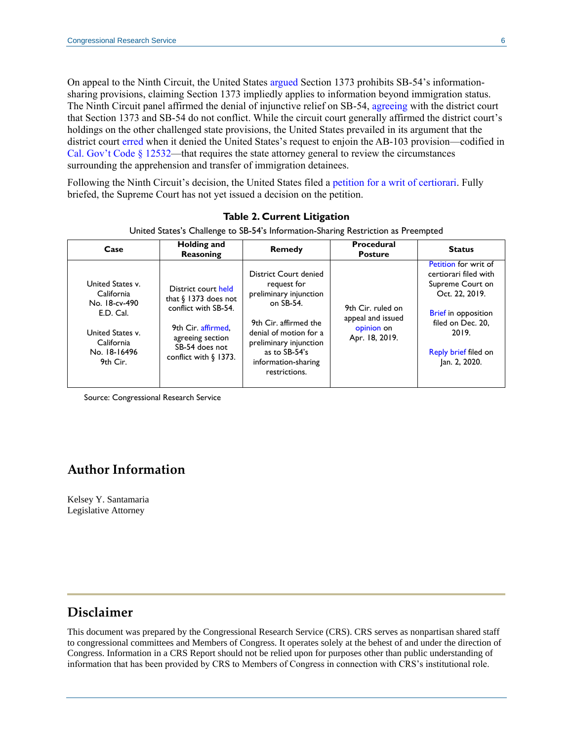On appeal to the Ninth Circuit, the United States [argued](http://cdn.ca9.uscourts.gov/datastore/opinions/2019/04/18/18-16496.pdf#page=47) Section 1373 prohibits SB-54's informationsharing provisions, [claiming](http://cdn.ca9.uscourts.gov/datastore/opinions/2019/04/18/18-16496.pdf#page=4) Section 1373 impliedly applies to information beyond immigration status. The Ninth Circuit panel [affirmed](http://cdn.ca9.uscourts.gov/datastore/opinions/2019/04/18/18-16496.pdf#page=54) the denial of injunctive relief on SB-54, [agreeing](http://cdn.ca9.uscourts.gov/datastore/opinions/2019/04/18/18-16496.pdf#page=50) with the district court that Section 1373 and SB-54 [do not conflict.](http://cdn.ca9.uscourts.gov/datastore/opinions/2019/04/18/18-16496.pdf#page=40) While the circuit court generally affirmed the district court's holdings on the other challenged state provisions, the United States prevailed in its argument that the district court [erred](http://cdn.ca9.uscourts.gov/datastore/opinions/2019/04/18/18-16496.pdf#page=34) when it denied the United States's request to enjoin the AB-103 provision—codified in Cal. Gov't Code  $\S 12532$ —that requires the state attorney general to review the circumstances surrounding the apprehension and transfer of immigration detainees.

Following the Ninth Circuit's decision, the United States filed a [petition for a writ of certiorari.](https://www.supremecourt.gov/DocketPDF/19/19-532/119897/20191022192538521_California.Pet.10.22.19.pdf) Fully briefed, the Supreme Court has not yet issued a decision on the petition.

| Case                                                                                                                       | Holding and<br>Reasoning                                                                                                                                                | <b>Remedy</b>                                                                                                                                                                                                     | <b>Procedural</b><br><b>Posture</b>                                    | <b>Status</b>                                                                                                                                                                                   |
|----------------------------------------------------------------------------------------------------------------------------|-------------------------------------------------------------------------------------------------------------------------------------------------------------------------|-------------------------------------------------------------------------------------------------------------------------------------------------------------------------------------------------------------------|------------------------------------------------------------------------|-------------------------------------------------------------------------------------------------------------------------------------------------------------------------------------------------|
| United States v.<br>California<br>No. 18-cv-490<br>E.D. Cal.<br>United States v.<br>California<br>No. 18-16496<br>9th Cir. | District court held<br>that $\frac{1}{2}$ 1373 does not<br>conflict with SB-54.<br>9th Cir. affirmed.<br>agreeing section<br>SB-54 does not<br>conflict with $\S$ 1373. | District Court denied<br>request for<br>preliminary injunction<br>on SB-54.<br>9th Cir. affirmed the<br>denial of motion for a<br>preliminary injunction<br>as to SB-54's<br>information-sharing<br>restrictions. | 9th Cir. ruled on<br>appeal and issued<br>opinion on<br>Apr. 18, 2019. | <b>Petition for writ of</b><br>certiorari filed with<br>Supreme Court on<br>Oct. 22, 2019.<br><b>Brief</b> in opposition<br>filed on Dec. 20.<br>2019.<br>Reply brief filed on<br>Jan. 2, 2020. |

#### **Table 2. Current Litigation**

United States's Challenge to SB-54's Information-Sharing Restriction as Preempted

Source: Congressional Research Service

#### **Author Information**

Kelsey Y. Santamaria Legislative Attorney

#### **Disclaimer**

This document was prepared by the Congressional Research Service (CRS). CRS serves as nonpartisan shared staff to congressional committees and Members of Congress. It operates solely at the behest of and under the direction of Congress. Information in a CRS Report should not be relied upon for purposes other than public understanding of information that has been provided by CRS to Members of Congress in connection with CRS's institutional role.